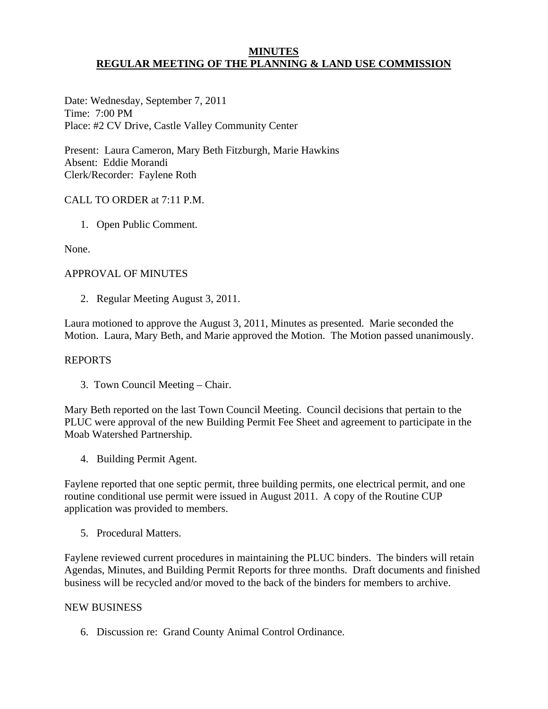# **MINUTES REGULAR MEETING OF THE PLANNING & LAND USE COMMISSION**

Date: Wednesday, September 7, 2011 Time: 7:00 PM Place: #2 CV Drive, Castle Valley Community Center

Present: Laura Cameron, Mary Beth Fitzburgh, Marie Hawkins Absent: Eddie Morandi Clerk/Recorder: Faylene Roth

# CALL TO ORDER at 7:11 P.M.

1. Open Public Comment.

None.

# APPROVAL OF MINUTES

2. Regular Meeting August 3, 2011.

Laura motioned to approve the August 3, 2011, Minutes as presented. Marie seconded the Motion. Laura, Mary Beth, and Marie approved the Motion. The Motion passed unanimously.

## REPORTS

3. Town Council Meeting – Chair.

Mary Beth reported on the last Town Council Meeting. Council decisions that pertain to the PLUC were approval of the new Building Permit Fee Sheet and agreement to participate in the Moab Watershed Partnership.

4. Building Permit Agent.

Faylene reported that one septic permit, three building permits, one electrical permit, and one routine conditional use permit were issued in August 2011. A copy of the Routine CUP application was provided to members.

5. Procedural Matters.

Faylene reviewed current procedures in maintaining the PLUC binders. The binders will retain Agendas, Minutes, and Building Permit Reports for three months. Draft documents and finished business will be recycled and/or moved to the back of the binders for members to archive.

### NEW BUSINESS

6. Discussion re: Grand County Animal Control Ordinance.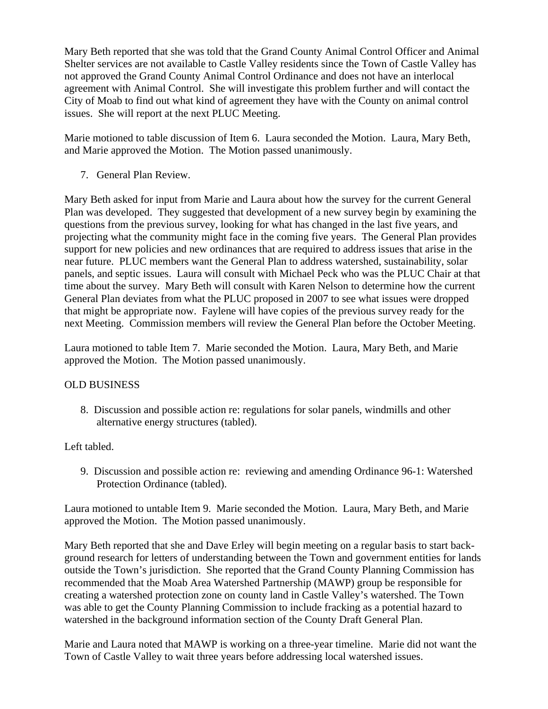Mary Beth reported that she was told that the Grand County Animal Control Officer and Animal Shelter services are not available to Castle Valley residents since the Town of Castle Valley has not approved the Grand County Animal Control Ordinance and does not have an interlocal agreement with Animal Control. She will investigate this problem further and will contact the City of Moab to find out what kind of agreement they have with the County on animal control issues. She will report at the next PLUC Meeting.

Marie motioned to table discussion of Item 6. Laura seconded the Motion. Laura, Mary Beth, and Marie approved the Motion. The Motion passed unanimously.

7. General Plan Review.

Mary Beth asked for input from Marie and Laura about how the survey for the current General Plan was developed. They suggested that development of a new survey begin by examining the questions from the previous survey, looking for what has changed in the last five years, and projecting what the community might face in the coming five years. The General Plan provides support for new policies and new ordinances that are required to address issues that arise in the near future. PLUC members want the General Plan to address watershed, sustainability, solar panels, and septic issues. Laura will consult with Michael Peck who was the PLUC Chair at that time about the survey. Mary Beth will consult with Karen Nelson to determine how the current General Plan deviates from what the PLUC proposed in 2007 to see what issues were dropped that might be appropriate now. Faylene will have copies of the previous survey ready for the next Meeting. Commission members will review the General Plan before the October Meeting.

Laura motioned to table Item 7. Marie seconded the Motion. Laura, Mary Beth, and Marie approved the Motion. The Motion passed unanimously.

# OLD BUSINESS

 8. Discussion and possible action re: regulations for solar panels, windmills and other alternative energy structures (tabled).

# Left tabled.

9. Discussion and possible action re: reviewing and amending Ordinance 96-1: Watershed Protection Ordinance (tabled).

Laura motioned to untable Item 9. Marie seconded the Motion. Laura, Mary Beth, and Marie approved the Motion. The Motion passed unanimously.

Mary Beth reported that she and Dave Erley will begin meeting on a regular basis to start background research for letters of understanding between the Town and government entities for lands outside the Town's jurisdiction. She reported that the Grand County Planning Commission has recommended that the Moab Area Watershed Partnership (MAWP) group be responsible for creating a watershed protection zone on county land in Castle Valley's watershed. The Town was able to get the County Planning Commission to include fracking as a potential hazard to watershed in the background information section of the County Draft General Plan.

Marie and Laura noted that MAWP is working on a three-year timeline. Marie did not want the Town of Castle Valley to wait three years before addressing local watershed issues.